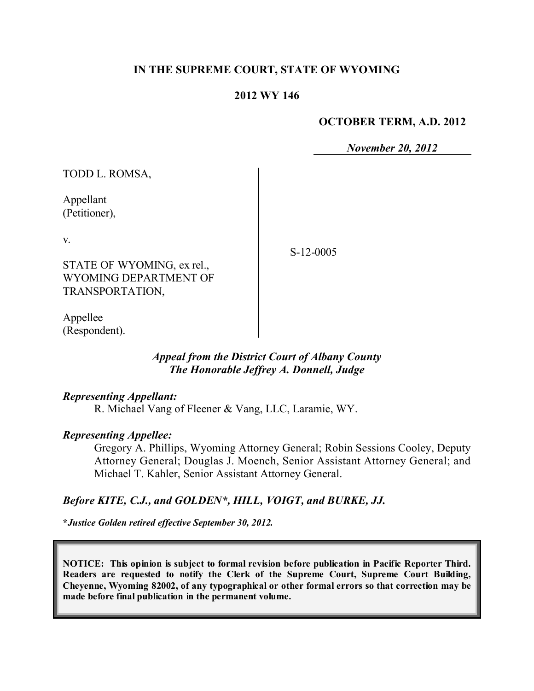### **IN THE SUPREME COURT, STATE OF WYOMING**

### **2012 WY 146**

#### **OCTOBER TERM, A.D. 2012**

*November 20, 2012*

| TODD L. ROMSA,                                                               |             |
|------------------------------------------------------------------------------|-------------|
| Appellant<br>(Petitioner),                                                   |             |
| V.<br>STATE OF WYOMING, ex rel.,<br>WYOMING DEPARTMENT OF<br>TRANSPORTATION, | $S-12-0005$ |
|                                                                              |             |

Appellee (Respondent).

### *Appeal from the District Court of Albany County The Honorable Jeffrey A. Donnell, Judge*

#### *Representing Appellant:*

R. Michael Vang of Fleener & Vang, LLC, Laramie, WY.

#### *Representing Appellee:*

Gregory A. Phillips, Wyoming Attorney General; Robin Sessions Cooley, Deputy Attorney General; Douglas J. Moench, Senior Assistant Attorney General; and Michael T. Kahler, Senior Assistant Attorney General.

### *Before KITE, C.J., and GOLDEN\*, HILL, VOIGT, and BURKE, JJ.*

**\****Justice Golden retired effective September 30, 2012.*

**NOTICE: This opinion is subject to formal revision before publication in Pacific Reporter Third. Readers are requested to notify the Clerk of the Supreme Court, Supreme Court Building, Cheyenne, Wyoming 82002, of any typographical or other formal errors so that correction may be made before final publication in the permanent volume.**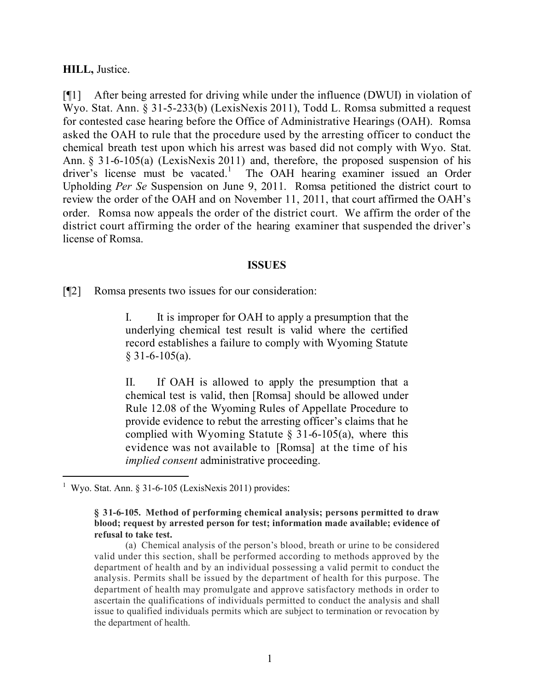#### **HILL,** Justice.

[¶1] After being arrested for driving while under the influence (DWUI) in violation of Wyo. Stat. Ann. § 31-5-233(b) (LexisNexis 2011), Todd L. Romsa submitted a request for contested case hearing before the Office of Administrative Hearings (OAH). Romsa asked the OAH to rule that the procedure used by the arresting officer to conduct the chemical breath test upon which his arrest was based did not comply with Wyo. Stat. Ann. § 31-6-105(a) (LexisNexis 2011) and, therefore, the proposed suspension of his driver's license must be vacated.<sup>1</sup> The OAH hearing examiner issued an Order Upholding *Per Se* Suspension on June 9, 2011. Romsa petitioned the district court to review the order of the OAH and on November 11, 2011, that court affirmed the OAH's order. Romsa now appeals the order of the district court. We affirm the order of the district court affirming the order of the hearing examiner that suspended the driver's license of Romsa.

#### **ISSUES**

[¶2] Romsa presents two issues for our consideration:

I. It is improper for OAH to apply a presumption that the underlying chemical test result is valid where the certified record establishes a failure to comply with Wyoming Statute  $§$  31-6-105(a).

II. If OAH is allowed to apply the presumption that a chemical test is valid, then [Romsa] should be allowed under Rule 12.08 of the Wyoming Rules of Appellate Procedure to provide evidence to rebut the arresting officer's claims that he complied with Wyoming Statute  $\S$  31-6-105(a), where this evidence was not available to [Romsa] at the time of his *implied consent* administrative proceeding.

 $\overline{a}$ 1 Wyo. Stat. Ann. § 31-6-105 (LexisNexis 2011) provides:

**<sup>§ 31-6-105.</sup> Method of performing chemical analysis; persons permitted to draw blood; request by arrested person for test; information made available; evidence of refusal to take test.**

<sup>(</sup>a) Chemical analysis of the person's blood, breath or urine to be considered valid under this section, shall be performed according to methods approved by the department of health and by an individual possessing a valid permit to conduct the analysis. Permits shall be issued by the department of health for this purpose. The department of health may promulgate and approve satisfactory methods in order to ascertain the qualifications of individuals permitted to conduct the analysis and shall issue to qualified individuals permits which are subject to termination or revocation by the department of health.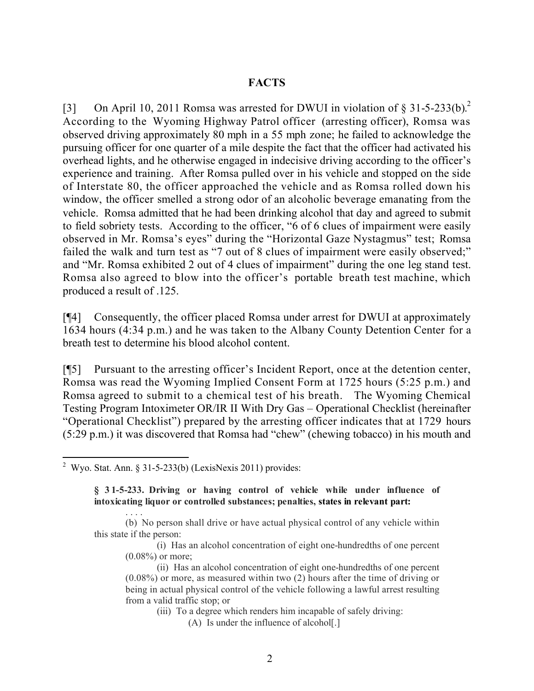### **FACTS**

[3] On April 10, 2011 Romsa was arrested for DWUI in violation of § 31-5-233(b).<sup>2</sup> According to the Wyoming Highway Patrol officer (arresting officer), Romsa was observed driving approximately 80 mph in a 55 mph zone; he failed to acknowledge the pursuing officer for one quarter of a mile despite the fact that the officer had activated his overhead lights, and he otherwise engaged in indecisive driving according to the officer's experience and training. After Romsa pulled over in his vehicle and stopped on the side of Interstate 80, the officer approached the vehicle and as Romsa rolled down his window, the officer smelled a strong odor of an alcoholic beverage emanating from the vehicle. Romsa admitted that he had been drinking alcohol that day and agreed to submit to field sobriety tests. According to the officer, "6 of 6 clues of impairment were easily observed in Mr. Romsa's eyes" during the "Horizontal Gaze Nystagmus" test; Romsa failed the walk and turn test as "7 out of 8 clues of impairment were easily observed;" and "Mr. Romsa exhibited 2 out of 4 clues of impairment" during the one leg stand test. Romsa also agreed to blow into the officer's portable breath test machine, which produced a result of .125.

[¶4] Consequently, the officer placed Romsa under arrest for DWUI at approximately 1634 hours (4:34 p.m.) and he was taken to the Albany County Detention Center for a breath test to determine his blood alcohol content.

[¶5] Pursuant to the arresting officer's Incident Report, once at the detention center, Romsa was read the Wyoming Implied Consent Form at 1725 hours (5:25 p.m.) and Romsa agreed to submit to a chemical test of his breath. The Wyoming Chemical Testing Program Intoximeter OR/IR II With Dry Gas – Operational Checklist (hereinafter "Operational Checklist") prepared by the arresting officer indicates that at 1729 hours (5:29 p.m.) it was discovered that Romsa had "chew" (chewing tobacco) in his mouth and

. . . .

 2 Wyo. Stat. Ann. § 31-5-233(b) (LexisNexis 2011) provides:

**<sup>§ 31-5-233.</sup> Driving or having control of vehicle while under influence of intoxicating liquor or controlled substances; penalties, states in relevant part:**

<sup>(</sup>b) No person shall drive or have actual physical control of any vehicle within this state if the person:

<sup>(</sup>i) Has an alcohol concentration of eight one-hundredths of one percent (0.08%) or more;

<sup>(</sup>ii) Has an alcohol concentration of eight one-hundredths of one percent (0.08%) or more, as measured within two (2) hours after the time of driving or being in actual physical control of the vehicle following a lawful arrest resulting from a valid traffic stop; or

<sup>(</sup>iii) To a degree which renders him incapable of safely driving:

<sup>(</sup>A) Is under the influence of alcohol[.]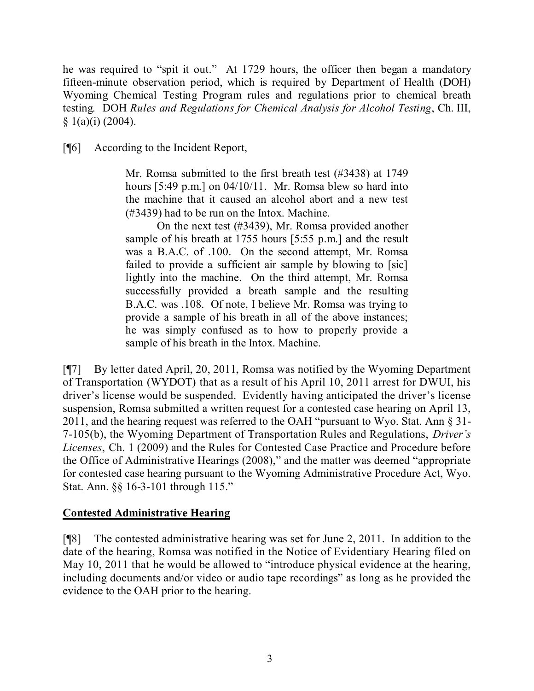he was required to "spit it out." At 1729 hours, the officer then began a mandatory fifteen-minute observation period, which is required by Department of Health (DOH) Wyoming Chemical Testing Program rules and regulations prior to chemical breath testing. DOH *Rules and Regulations for Chemical Analysis for Alcohol Testing*, Ch. III,  $§ 1(a)(i) (2004).$ 

[¶6] According to the Incident Report,

Mr. Romsa submitted to the first breath test (#3438) at 1749 hours [5:49 p.m.] on 04/10/11. Mr. Romsa blew so hard into the machine that it caused an alcohol abort and a new test (#3439) had to be run on the Intox. Machine.

On the next test (#3439), Mr. Romsa provided another sample of his breath at 1755 hours [5:55 p.m.] and the result was a B.A.C. of .100. On the second attempt, Mr. Romsa failed to provide a sufficient air sample by blowing to [sic] lightly into the machine. On the third attempt, Mr. Romsa successfully provided a breath sample and the resulting B.A.C. was .108. Of note, I believe Mr. Romsa was trying to provide a sample of his breath in all of the above instances; he was simply confused as to how to properly provide a sample of his breath in the Intox. Machine.

[¶7] By letter dated April, 20, 2011, Romsa was notified by the Wyoming Department of Transportation (WYDOT) that as a result of his April 10, 2011 arrest for DWUI, his driver's license would be suspended. Evidently having anticipated the driver's license suspension, Romsa submitted a written request for a contested case hearing on April 13, 2011, and the hearing request was referred to the OAH "pursuant to Wyo. Stat. Ann § 31- 7-105(b), the Wyoming Department of Transportation Rules and Regulations, *Driver's Licenses*, Ch. 1 (2009) and the Rules for Contested Case Practice and Procedure before the Office of Administrative Hearings (2008)," and the matter was deemed "appropriate for contested case hearing pursuant to the Wyoming Administrative Procedure Act, Wyo. Stat. Ann. §§ 16-3-101 through 115."

## **Contested Administrative Hearing**

[¶8] The contested administrative hearing was set for June 2, 2011. In addition to the date of the hearing, Romsa was notified in the Notice of Evidentiary Hearing filed on May 10, 2011 that he would be allowed to "introduce physical evidence at the hearing, including documents and/or video or audio tape recordings" as long as he provided the evidence to the OAH prior to the hearing.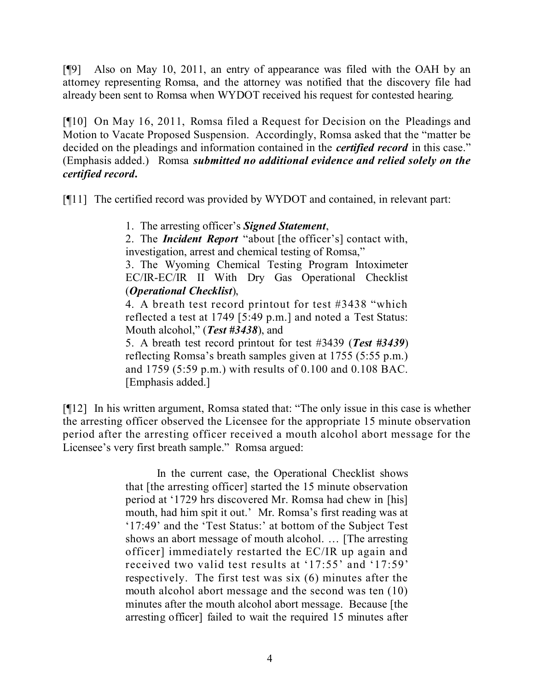[¶9] Also on May 10, 2011, an entry of appearance was filed with the OAH by an attorney representing Romsa, and the attorney was notified that the discovery file had already been sent to Romsa when WYDOT received his request for contested hearing.

[¶10] On May 16, 2011, Romsa filed a Request for Decision on the Pleadings and Motion to Vacate Proposed Suspension. Accordingly, Romsa asked that the "matter be decided on the pleadings and information contained in the *certified record* in this case." (Emphasis added.) Romsa *submitted no additional evidence and relied solely on the certified record***.**

[¶11] The certified record was provided by WYDOT and contained, in relevant part:

1. The arresting officer's *Signed Statement*,

2. The *Incident Report* "about [the officer's] contact with, investigation, arrest and chemical testing of Romsa,"

3. The Wyoming Chemical Testing Program Intoximeter EC/IR-EC/IR II With Dry Gas Operational Checklist (*Operational Checklist*),

4. A breath test record printout for test #3438 "which reflected a test at 1749 [5:49 p.m.] and noted a Test Status: Mouth alcohol," (*Test #3438*), and

5. A breath test record printout for test #3439 (*Test #3439*) reflecting Romsa's breath samples given at 1755 (5:55 p.m.) and 1759 (5:59 p.m.) with results of 0.100 and 0.108 BAC. [Emphasis added.]

[¶12] In his written argument, Romsa stated that: "The only issue in this case is whether the arresting officer observed the Licensee for the appropriate 15 minute observation period after the arresting officer received a mouth alcohol abort message for the Licensee's very first breath sample." Romsa argued:

> In the current case, the Operational Checklist shows that [the arresting officer] started the 15 minute observation period at '1729 hrs discovered Mr. Romsa had chew in [his] mouth, had him spit it out.' Mr. Romsa's first reading was at '17:49' and the 'Test Status:' at bottom of the Subject Test shows an abort message of mouth alcohol. … [The arresting officer] immediately restarted the EC/IR up again and received two valid test results at '17:55' and '17:59' respectively. The first test was six (6) minutes after the mouth alcohol abort message and the second was ten (10) minutes after the mouth alcohol abort message. Because [the arresting officer] failed to wait the required 15 minutes after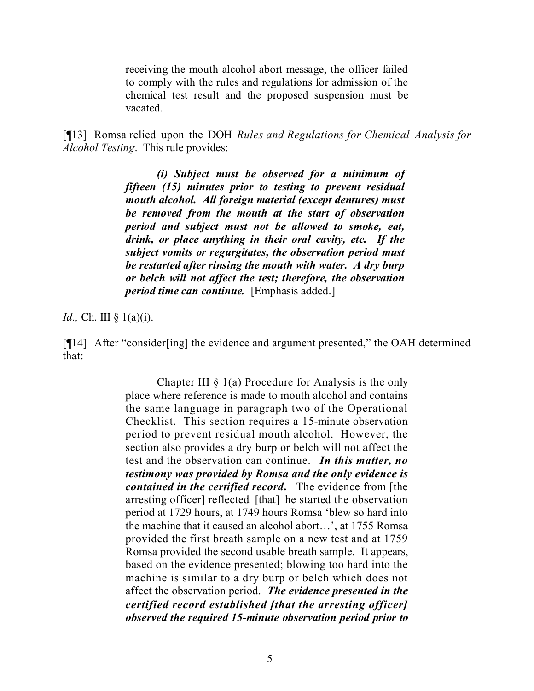receiving the mouth alcohol abort message, the officer failed to comply with the rules and regulations for admission of the chemical test result and the proposed suspension must be vacated.

[¶13] Romsa relied upon the DOH *Rules and Regulations for Chemical Analysis for Alcohol Testing*.This rule provides:

> *(i) Subject must be observed for a minimum of fifteen (15) minutes prior to testing to prevent residual mouth alcohol. All foreign material (except dentures) must be removed from the mouth at the start of observation period and subject must not be allowed to smoke, eat, drink, or place anything in their oral cavity, etc. If the subject vomits or regurgitates, the observation period must be restarted after rinsing the mouth with water. A dry burp or belch will not affect the test; therefore, the observation period time can continue.* [Emphasis added.]

*Id.*, Ch. III § 1(a)(i).

[¶14] After "consider[ing] the evidence and argument presented," the OAH determined that:

> Chapter III  $\S$  1(a) Procedure for Analysis is the only place where reference is made to mouth alcohol and contains the same language in paragraph two of the Operational Checklist. This section requires a 15-minute observation period to prevent residual mouth alcohol. However, the section also provides a dry burp or belch will not affect the test and the observation can continue. *In this matter, no testimony was provided by Romsa and the only evidence is contained in the certified record***.** The evidence from [the arresting officer] reflected [that] he started the observation period at 1729 hours, at 1749 hours Romsa 'blew so hard into the machine that it caused an alcohol abort…', at 1755 Romsa provided the first breath sample on a new test and at 1759 Romsa provided the second usable breath sample. It appears, based on the evidence presented; blowing too hard into the machine is similar to a dry burp or belch which does not affect the observation period. *The evidence presented in the certified record established [that the arresting officer] observed the required 15-minute observation period prior to*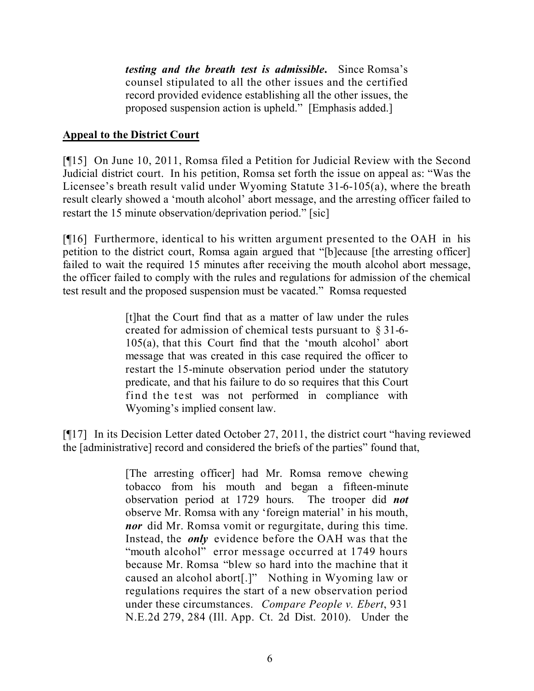*testing and the breath test is admissible***.** Since Romsa's counsel stipulated to all the other issues and the certified record provided evidence establishing all the other issues, the proposed suspension action is upheld." [Emphasis added.]

## **Appeal to the District Court**

[¶15] On June 10, 2011, Romsa filed a Petition for Judicial Review with the Second Judicial district court. In his petition, Romsa set forth the issue on appeal as: "Was the Licensee's breath result valid under Wyoming Statute 31-6-105(a), where the breath result clearly showed a 'mouth alcohol' abort message, and the arresting officer failed to restart the 15 minute observation/deprivation period." [sic]

[¶16] Furthermore, identical to his written argument presented to the OAH in his petition to the district court, Romsa again argued that "[b]ecause [the arresting officer] failed to wait the required 15 minutes after receiving the mouth alcohol abort message, the officer failed to comply with the rules and regulations for admission of the chemical test result and the proposed suspension must be vacated." Romsa requested

> [t]hat the Court find that as a matter of law under the rules created for admission of chemical tests pursuant to § 31-6- 105(a), that this Court find that the 'mouth alcohol' abort message that was created in this case required the officer to restart the 15-minute observation period under the statutory predicate, and that his failure to do so requires that this Court find the test was not performed in compliance with Wyoming's implied consent law.

[¶17] In its Decision Letter dated October 27, 2011, the district court "having reviewed the [administrative] record and considered the briefs of the parties" found that,

> [The arresting officer] had Mr. Romsa remove chewing tobacco from his mouth and began a fifteen-minute observation period at 1729 hours. The trooper did *not* observe Mr. Romsa with any 'foreign material' in his mouth, *nor* did Mr. Romsa vomit or regurgitate, during this time. Instead, the *only* evidence before the OAH was that the "mouth alcohol" error message occurred at 1749 hours because Mr. Romsa "blew so hard into the machine that it caused an alcohol abort[.]" Nothing in Wyoming law or regulations requires the start of a new observation period under these circumstances. *Compare People v. Ebert*, 931 N.E.2d 279, 284 (Ill. App. Ct. 2d Dist. 2010). Under the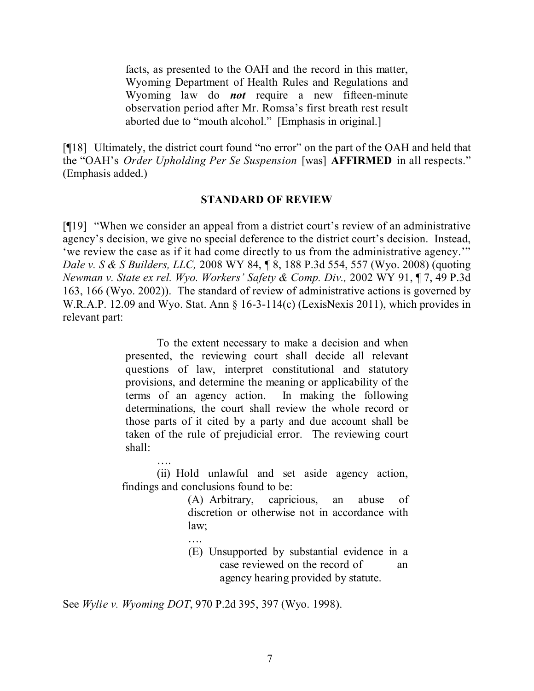facts, as presented to the OAH and the record in this matter, Wyoming Department of Health Rules and Regulations and Wyoming law do *not* require a new fifteen-minute observation period after Mr. Romsa's first breath rest result aborted due to "mouth alcohol." [Emphasis in original.]

[¶18] Ultimately, the district court found "no error" on the part of the OAH and held that the "OAH's *Order Upholding Per Se Suspension* [was] **AFFIRMED** in all respects." (Emphasis added.)

### **STANDARD OF REVIEW**

[¶19] "When we consider an appeal from a district court's review of an administrative agency's decision, we give no special deference to the district court's decision. Instead, 'we review the case as if it had come directly to us from the administrative agency.'" *Dale v. S & S Builders, LLC,* 2008 WY 84, ¶ 8, 188 P.3d 554, 557 (Wyo. 2008) (quoting *Newman v. State ex rel. Wyo. Workers' Safety & Comp. Div.,* 2002 WY 91, ¶ 7, 49 P.3d 163, 166 (Wyo. 2002)). The standard of review of administrative actions is governed by W.R.A.P. 12.09 and Wyo. Stat. Ann § 16-3-114(c) (LexisNexis 2011), which provides in relevant part:

> To the extent necessary to make a decision and when presented, the reviewing court shall decide all relevant questions of law, interpret constitutional and statutory provisions, and determine the meaning or applicability of the terms of an agency action. In making the following determinations, the court shall review the whole record or those parts of it cited by a party and due account shall be taken of the rule of prejudicial error. The reviewing court shall:

…. (ii) Hold unlawful and set aside agency action, findings and conclusions found to be:

> (A) Arbitrary, capricious, an abuse of discretion or otherwise not in accordance with law;

…. (E) Unsupported by substantial evidence in a case reviewed on the record of an agency hearing provided by statute.

See *Wylie v. Wyoming DOT*, 970 P.2d 395, 397 (Wyo. 1998).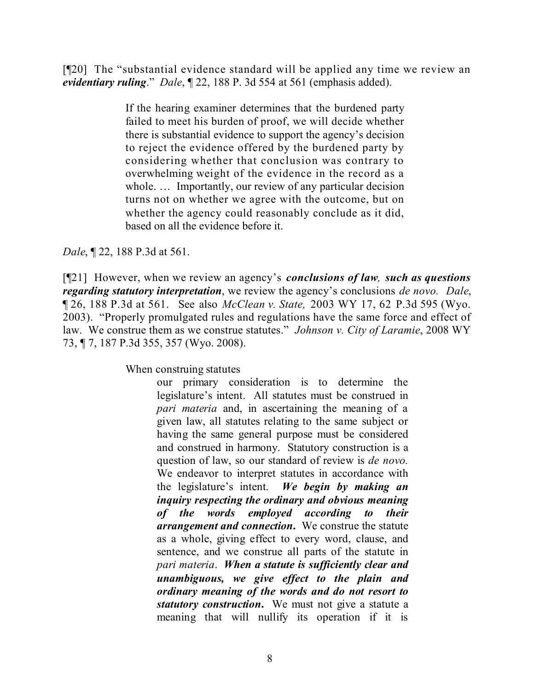[¶20] The "substantial evidence standard will be applied any time we review an *evidentiary ruling*." *Dale*, ¶ 22, 188 P. 3d 554 at 561 (emphasis added).

> If the hearing examiner determines that the burdened party failed to meet his burden of proof, we will decide whether there is substantial evidence to support the agency's decision to reject the evidence offered by the burdened party by considering whether that conclusion was contrary to overwhelming weight of the evidence in the record as a whole. ... Importantly, our review of any particular decision turns not on whether we agree with the outcome, but on whether the agency could reasonably conclude as it did, based on all the evidence before it.

*Dale*, ¶ 22, 188 P.3d at 561.

[¶21] However, when we review an agency's *conclusions of law, such as questions regarding statutory interpretation*, we review the agency's conclusions *de novo. Dale*, ¶ 26, 188 P.3d at 561. See also *McClean v. State,* 2003 WY 17, 62 P.3d 595 (Wyo. 2003). "Properly promulgated rules and regulations have the same force and effect of law. We construe them as we construe statutes." *Johnson v. City of Laramie*, 2008 WY 73, ¶ 7, 187 P.3d 355, 357 (Wyo. 2008).

When construing statutes

our primary consideration is to determine the legislature's intent. All statutes must be construed in *pari materia* and, in ascertaining the meaning of a given law, all statutes relating to the same subject or having the same general purpose must be considered and construed in harmony. Statutory construction is a question of law, so our standard of review is *de novo.* We endeavor to interpret statutes in accordance with the legislature's intent. *We begin by making an inquiry respecting the ordinary and obvious meaning of the words employed according to their arrangement and connection***.** We construe the statute as a whole, giving effect to every word, clause, and sentence, and we construe all parts of the statute in *pari materia*. *When a statute is sufficiently clear and unambiguous, we give effect to the plain and ordinary meaning of the words and do not resort to statutory construction***.** We must not give a statute a meaning that will nullify its operation if it is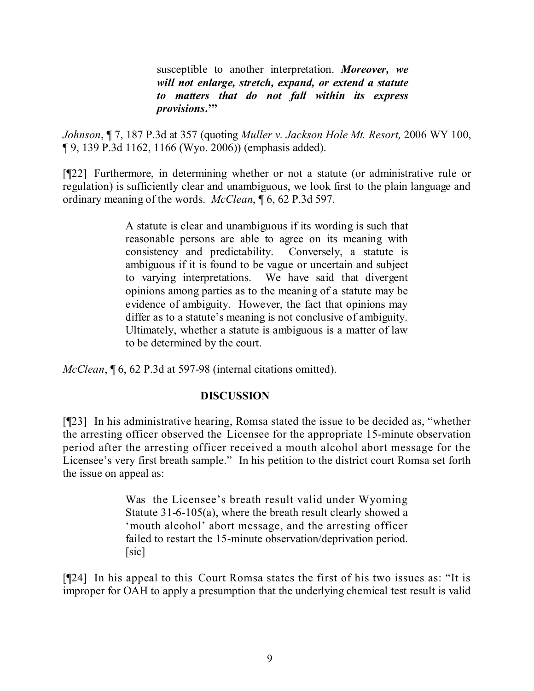susceptible to another interpretation. *Moreover, we will not enlarge, stretch, expand, or extend a statute to matters that do not fall within its express provisions***.'"**

*Johnson*, ¶ 7, 187 P.3d at 357 (quoting *Muller v. Jackson Hole Mt. Resort,* 2006 WY 100, ¶ 9, 139 P.3d 1162, 1166 (Wyo. 2006)) (emphasis added).

[¶22] Furthermore, in determining whether or not a statute (or administrative rule or regulation) is sufficiently clear and unambiguous, we look first to the plain language and ordinary meaning of the words. *McClean*, ¶ 6, 62 P.3d 597.

> A statute is clear and unambiguous if its wording is such that reasonable persons are able to agree on its meaning with consistency and predictability. Conversely, a statute is ambiguous if it is found to be vague or uncertain and subject to varying interpretations. We have said that divergent opinions among parties as to the meaning of a statute may be evidence of ambiguity. However, the fact that opinions may differ as to a statute's meaning is not conclusive of ambiguity. Ultimately, whether a statute is ambiguous is a matter of law to be determined by the court.

*McClean*, ¶ 6, 62 P.3d at 597-98 (internal citations omitted).

## **DISCUSSION**

[¶23] In his administrative hearing, Romsa stated the issue to be decided as, "whether the arresting officer observed the Licensee for the appropriate 15-minute observation period after the arresting officer received a mouth alcohol abort message for the Licensee's very first breath sample." In his petition to the district court Romsa set forth the issue on appeal as:

> Was the Licensee's breath result valid under Wyoming Statute 31-6-105(a), where the breath result clearly showed a 'mouth alcohol' abort message, and the arresting officer failed to restart the 15-minute observation/deprivation period. [sic]

[¶24] In his appeal to this Court Romsa states the first of his two issues as: "It is improper for OAH to apply a presumption that the underlying chemical test result is valid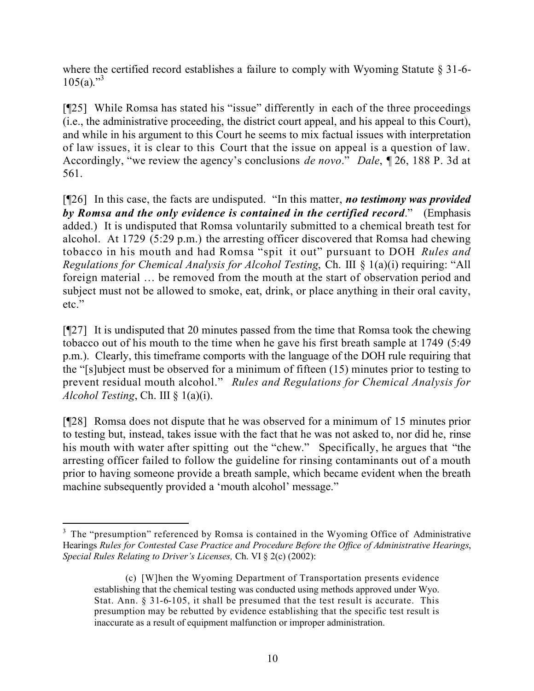where the certified record establishes a failure to comply with Wyoming Statute § 31-6- $105(a)$ ."<sup>3</sup>

[¶25] While Romsa has stated his "issue" differently in each of the three proceedings (i.e., the administrative proceeding, the district court appeal, and his appeal to this Court), and while in his argument to this Court he seems to mix factual issues with interpretation of law issues, it is clear to this Court that the issue on appeal is a question of law. Accordingly, "we review the agency's conclusions *de novo*." *Dale*, ¶ 26, 188 P. 3d at 561.

[¶26] In this case, the facts are undisputed. "In this matter, *no testimony was provided by Romsa and the only evidence is contained in the certified record*." (Emphasis added.) It is undisputed that Romsa voluntarily submitted to a chemical breath test for alcohol. At 1729 (5:29 p.m.) the arresting officer discovered that Romsa had chewing tobacco in his mouth and had Romsa "spit it out" pursuant to DOH *Rules and Regulations for Chemical Analysis for Alcohol Testing*, Ch. III § 1(a)(i) requiring: "All foreign material … be removed from the mouth at the start of observation period and subject must not be allowed to smoke, eat, drink, or place anything in their oral cavity, etc."

[¶27] It is undisputed that 20 minutes passed from the time that Romsa took the chewing tobacco out of his mouth to the time when he gave his first breath sample at 1749 (5:49 p.m.). Clearly, this timeframe comports with the language of the DOH rule requiring that the "[s]ubject must be observed for a minimum of fifteen (15) minutes prior to testing to prevent residual mouth alcohol." *Rules and Regulations for Chemical Analysis for Alcohol Testing*, Ch. III § 1(a)(i).

[¶28] Romsa does not dispute that he was observed for a minimum of 15 minutes prior to testing but, instead, takes issue with the fact that he was not asked to, nor did he, rinse his mouth with water after spitting out the "chew." Specifically, he argues that "the arresting officer failed to follow the guideline for rinsing contaminants out of a mouth prior to having someone provide a breath sample, which became evident when the breath machine subsequently provided a 'mouth alcohol' message."

 $\overline{a}$ 

<sup>&</sup>lt;sup>3</sup> The "presumption" referenced by Romsa is contained in the Wyoming Office of Administrative Hearings *Rules for Contested Case Practice and Procedure Before the Office of Administrative Hearings*, *Special Rules Relating to Driver's Licenses,* Ch. VI § 2(c) (2002):

<sup>(</sup>c) [W]hen the Wyoming Department of Transportation presents evidence establishing that the chemical testing was conducted using methods approved under Wyo. Stat. Ann. § 31-6-105, it shall be presumed that the test result is accurate. This presumption may be rebutted by evidence establishing that the specific test result is inaccurate as a result of equipment malfunction or improper administration.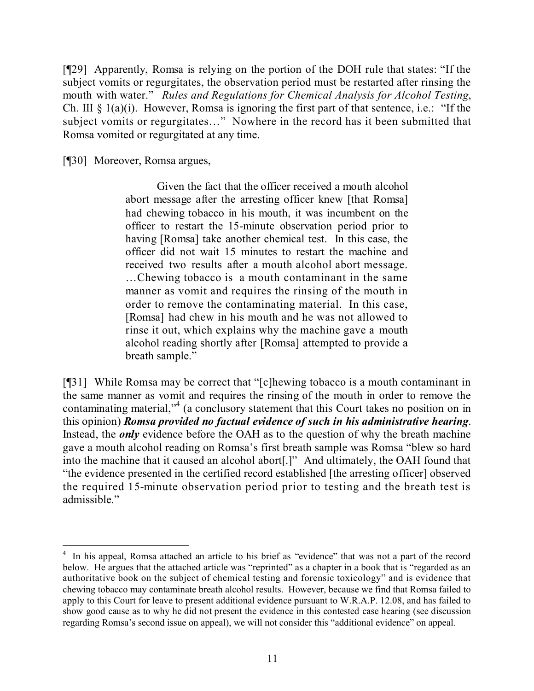[¶29] Apparently, Romsa is relying on the portion of the DOH rule that states: "If the subject vomits or regurgitates, the observation period must be restarted after rinsing the mouth with water." *Rules and Regulations for Chemical Analysis for Alcohol Testing*, Ch. III  $\S$  1(a)(i). However, Romsa is ignoring the first part of that sentence, i.e.: "If the subject vomits or regurgitates…" Nowhere in the record has it been submitted that Romsa vomited or regurgitated at any time.

[¶30] Moreover, Romsa argues,

Given the fact that the officer received a mouth alcohol abort message after the arresting officer knew [that Romsa] had chewing tobacco in his mouth, it was incumbent on the officer to restart the 15-minute observation period prior to having [Romsa] take another chemical test. In this case, the officer did not wait 15 minutes to restart the machine and received two results after a mouth alcohol abort message. …Chewing tobacco is a mouth contaminant in the same manner as vomit and requires the rinsing of the mouth in order to remove the contaminating material. In this case, [Romsa] had chew in his mouth and he was not allowed to rinse it out, which explains why the machine gave a mouth alcohol reading shortly after [Romsa] attempted to provide a breath sample."

[¶31] While Romsa may be correct that "[c]hewing tobacco is a mouth contaminant in the same manner as vomit and requires the rinsing of the mouth in order to remove the contaminating material,"<sup>4</sup> (a conclusory statement that this Court takes no position on in this opinion) *Romsa provided no factual evidence of such in his administrative hearing*. Instead, the *only* evidence before the OAH as to the question of why the breath machine gave a mouth alcohol reading on Romsa's first breath sample was Romsa "blew so hard into the machine that it caused an alcohol abort[.]" And ultimately, the OAH found that "the evidence presented in the certified record established [the arresting officer] observed the required 15-minute observation period prior to testing and the breath test is admissible."

 4 In his appeal, Romsa attached an article to his brief as "evidence" that was not a part of the record below. He argues that the attached article was "reprinted" as a chapter in a book that is "regarded as an authoritative book on the subject of chemical testing and forensic toxicology" and is evidence that chewing tobacco may contaminate breath alcohol results. However, because we find that Romsa failed to apply to this Court for leave to present additional evidence pursuant to W.R.A.P. 12.08, and has failed to show good cause as to why he did not present the evidence in this contested case hearing (see discussion regarding Romsa's second issue on appeal), we will not consider this "additional evidence" on appeal.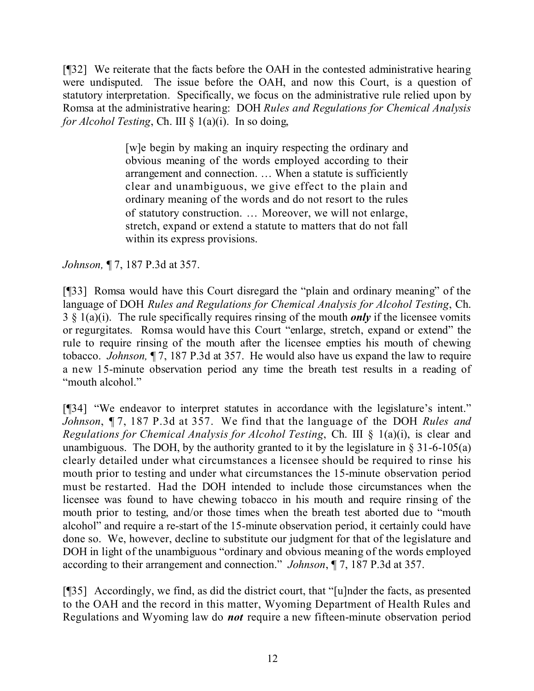[¶32] We reiterate that the facts before the OAH in the contested administrative hearing were undisputed. The issue before the OAH, and now this Court, is a question of statutory interpretation. Specifically, we focus on the administrative rule relied upon by Romsa at the administrative hearing: DOH *Rules and Regulations for Chemical Analysis for Alcohol Testing*, Ch. III § 1(a)(i). In so doing,

> [w]e begin by making an inquiry respecting the ordinary and obvious meaning of the words employed according to their arrangement and connection. … When a statute is sufficiently clear and unambiguous, we give effect to the plain and ordinary meaning of the words and do not resort to the rules of statutory construction. … Moreover, we will not enlarge, stretch, expand or extend a statute to matters that do not fall within its express provisions.

*Johnson,* ¶ 7, 187 P.3d at 357.

[¶33] Romsa would have this Court disregard the "plain and ordinary meaning" of the language of DOH *Rules and Regulations for Chemical Analysis for Alcohol Testing*, Ch. 3 § 1(a)(i). The rule specifically requires rinsing of the mouth *only* if the licensee vomits or regurgitates. Romsa would have this Court "enlarge, stretch, expand or extend" the rule to require rinsing of the mouth after the licensee empties his mouth of chewing tobacco. *Johnson,* ¶ 7, 187 P.3d at 357. He would also have us expand the law to require a new 15-minute observation period any time the breath test results in a reading of "mouth alcohol."

[¶34] "We endeavor to interpret statutes in accordance with the legislature's intent." *Johnson*, ¶ 7, 187 P.3d at 357. We find that the language of the DOH *Rules and Regulations for Chemical Analysis for Alcohol Testing*, Ch. III § 1(a)(i), is clear and unambiguous. The DOH, by the authority granted to it by the legislature in  $\S 31-6-105(a)$ clearly detailed under what circumstances a licensee should be required to rinse his mouth prior to testing and under what circumstances the 15-minute observation period must be restarted. Had the DOH intended to include those circumstances when the licensee was found to have chewing tobacco in his mouth and require rinsing of the mouth prior to testing, and/or those times when the breath test aborted due to "mouth alcohol" and require a re-start of the 15-minute observation period, it certainly could have done so. We, however, decline to substitute our judgment for that of the legislature and DOH in light of the unambiguous "ordinary and obvious meaning of the words employed according to their arrangement and connection." *Johnson*, ¶ 7, 187 P.3d at 357.

[¶35] Accordingly, we find, as did the district court, that "[u]nder the facts, as presented to the OAH and the record in this matter, Wyoming Department of Health Rules and Regulations and Wyoming law do *not* require a new fifteen-minute observation period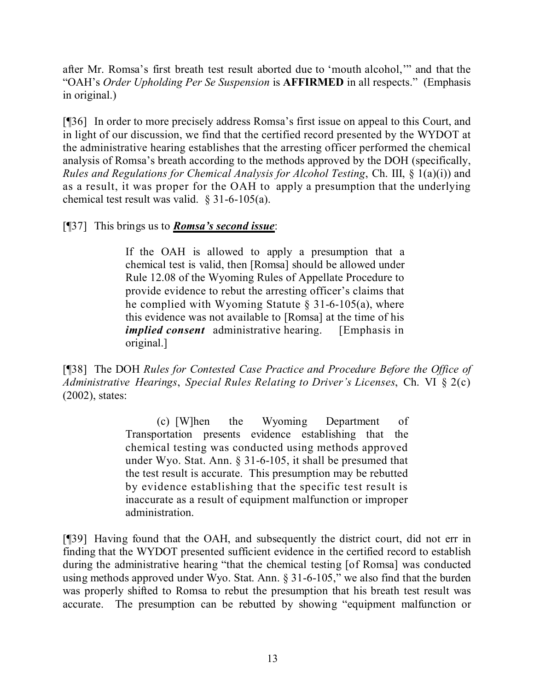after Mr. Romsa's first breath test result aborted due to 'mouth alcohol,'" and that the "OAH's *Order Upholding Per Se Suspension* is **AFFIRMED** in all respects." (Emphasis in original.)

[¶36] In order to more precisely address Romsa's first issue on appeal to this Court, and in light of our discussion, we find that the certified record presented by the WYDOT at the administrative hearing establishes that the arresting officer performed the chemical analysis of Romsa's breath according to the methods approved by the DOH (specifically, *Rules and Regulations for Chemical Analysis for Alcohol Testing*, Ch. III, § 1(a)(i)) and as a result, it was proper for the OAH to apply a presumption that the underlying chemical test result was valid. § 31-6-105(a).

[¶37] This brings us to *Romsa's second issue*:

If the OAH is allowed to apply a presumption that a chemical test is valid, then [Romsa] should be allowed under Rule 12.08 of the Wyoming Rules of Appellate Procedure to provide evidence to rebut the arresting officer's claims that he complied with Wyoming Statute  $\S$  31-6-105(a), where this evidence was not available to [Romsa] at the time of his *implied consent* administrative hearing. [Emphasis in original.]

[¶38] The DOH *Rules for Contested Case Practice and Procedure Before the Office of Administrative Hearings*, *Special Rules Relating to Driver's Licenses*, Ch. VI § 2(c) (2002), states:

> (c) [W]hen the Wyoming Department of Transportation presents evidence establishing that the chemical testing was conducted using methods approved under Wyo. Stat. Ann. § 31-6-105, it shall be presumed that the test result is accurate. This presumption may be rebutted by evidence establishing that the specific test result is inaccurate as a result of equipment malfunction or improper administration.

[¶39] Having found that the OAH, and subsequently the district court, did not err in finding that the WYDOT presented sufficient evidence in the certified record to establish during the administrative hearing "that the chemical testing [of Romsa] was conducted using methods approved under Wyo. Stat. Ann. § 31-6-105," we also find that the burden was properly shifted to Romsa to rebut the presumption that his breath test result was accurate. The presumption can be rebutted by showing "equipment malfunction or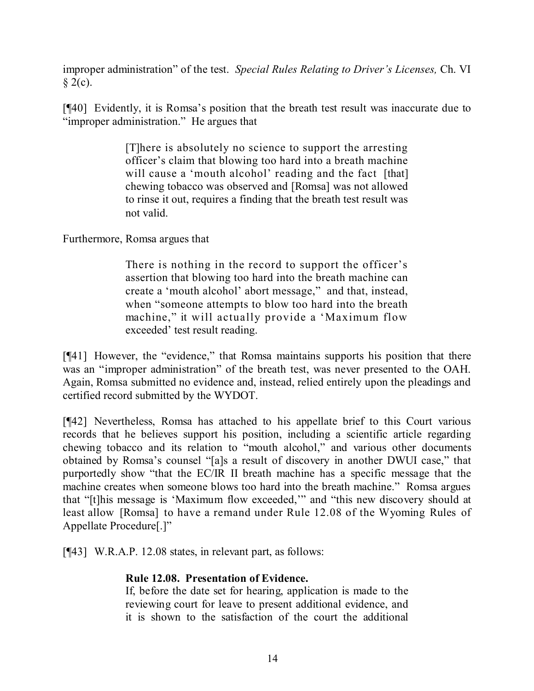improper administration" of the test. *Special Rules Relating to Driver's Licenses,* Ch. VI  $§$  2(c).

[¶40] Evidently, it is Romsa's position that the breath test result was inaccurate due to "improper administration." He argues that

> [T]here is absolutely no science to support the arresting officer's claim that blowing too hard into a breath machine will cause a 'mouth alcohol' reading and the fact [that] chewing tobacco was observed and [Romsa] was not allowed to rinse it out, requires a finding that the breath test result was not valid.

Furthermore, Romsa argues that

There is nothing in the record to support the officer's assertion that blowing too hard into the breath machine can create a 'mouth alcohol' abort message," and that, instead, when "someone attempts to blow too hard into the breath machine," it will actually provide a 'Maximum flow exceeded' test result reading.

[¶41] However, the "evidence," that Romsa maintains supports his position that there was an "improper administration" of the breath test, was never presented to the OAH. Again, Romsa submitted no evidence and, instead, relied entirely upon the pleadings and certified record submitted by the WYDOT.

[¶42] Nevertheless, Romsa has attached to his appellate brief to this Court various records that he believes support his position, including a scientific article regarding chewing tobacco and its relation to "mouth alcohol," and various other documents obtained by Romsa's counsel "[a]s a result of discovery in another DWUI case," that purportedly show "that the EC/IR II breath machine has a specific message that the machine creates when someone blows too hard into the breath machine." Romsa argues that "[t]his message is 'Maximum flow exceeded,'" and "this new discovery should at least allow [Romsa] to have a remand under Rule 12.08 of the Wyoming Rules of Appellate Procedure[.]"

[¶43] W.R.A.P. 12.08 states, in relevant part, as follows:

# **Rule 12.08. Presentation of Evidence.**

If, before the date set for hearing, application is made to the reviewing court for leave to present additional evidence, and it is shown to the satisfaction of the court the additional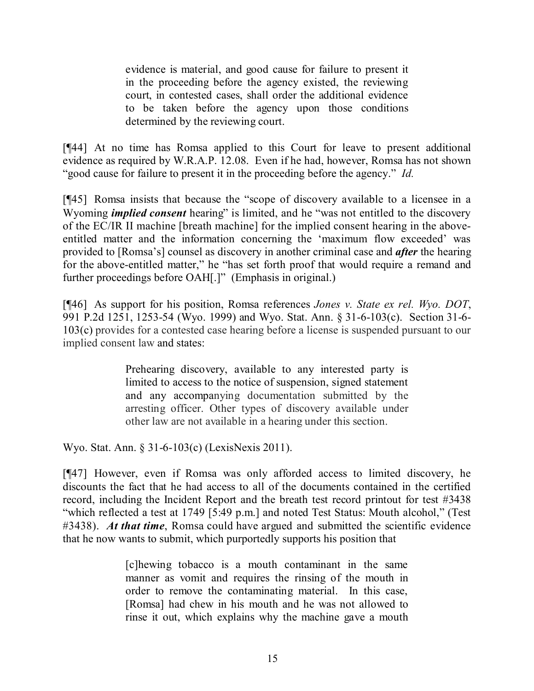evidence is material, and good cause for failure to present it in the proceeding before the agency existed, the reviewing court, in contested cases, shall order the additional evidence to be taken before the agency upon those conditions determined by the reviewing court.

[¶44] At no time has Romsa applied to this Court for leave to present additional evidence as required by W.R.A.P. 12.08. Even if he had, however, Romsa has not shown "good cause for failure to present it in the proceeding before the agency." *Id.*

[¶45] Romsa insists that because the "scope of discovery available to a licensee in a Wyoming *implied consent* hearing" is limited, and he "was not entitled to the discovery of the EC/IR II machine [breath machine] for the implied consent hearing in the aboveentitled matter and the information concerning the 'maximum flow exceeded' was provided to [Romsa's] counsel as discovery in another criminal case and *after* the hearing for the above-entitled matter," he "has set forth proof that would require a remand and further proceedings before OAH[.]" (Emphasis in original.)

[¶46] As support for his position, Romsa references *Jones v. State ex rel. Wyo. DOT*, 991 P.2d 1251, 1253-54 (Wyo. 1999) and Wyo. Stat. Ann. § 31-6-103(c). Section 31-6- 103(c) provides for a contested case hearing before a license is suspended pursuant to our implied consent law and states:

> Prehearing discovery, available to any interested party is limited to access to the notice of suspension, signed statement and any accompanying documentation submitted by the arresting officer. Other types of discovery available under other law are not available in a hearing under this section.

Wyo. Stat. Ann. § 31-6-103(c) (LexisNexis 2011).

[¶47] However, even if Romsa was only afforded access to limited discovery, he discounts the fact that he had access to all of the documents contained in the certified record, including the Incident Report and the breath test record printout for test #3438 "which reflected a test at 1749 [5:49 p.m.] and noted Test Status: Mouth alcohol," (Test #3438). *At that time*, Romsa could have argued and submitted the scientific evidence that he now wants to submit, which purportedly supports his position that

> [c]hewing tobacco is a mouth contaminant in the same manner as vomit and requires the rinsing of the mouth in order to remove the contaminating material. In this case, [Romsa] had chew in his mouth and he was not allowed to rinse it out, which explains why the machine gave a mouth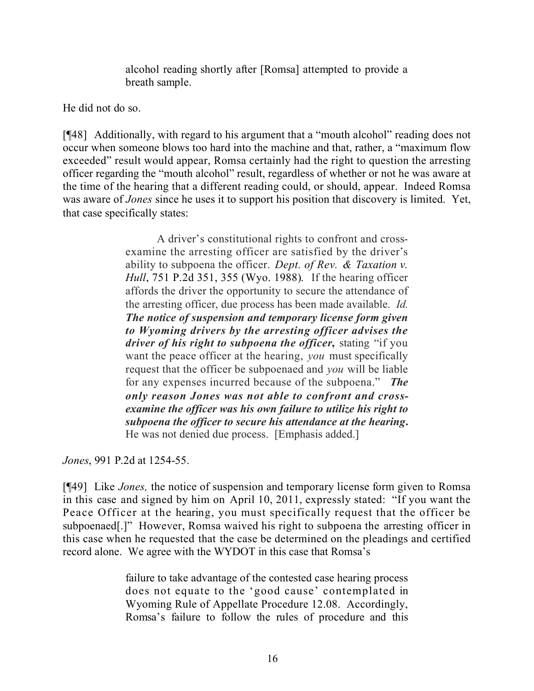alcohol reading shortly after [Romsa] attempted to provide a breath sample.

He did not do so.

[¶48] Additionally, with regard to his argument that a "mouth alcohol" reading does not occur when someone blows too hard into the machine and that, rather, a "maximum flow exceeded" result would appear, Romsa certainly had the right to question the arresting officer regarding the "mouth alcohol" result, regardless of whether or not he was aware at the time of the hearing that a different reading could, or should, appear. Indeed Romsa was aware of *Jones* since he uses it to support his position that discovery is limited. Yet, that case specifically states:

> A driver's constitutional rights to confront and crossexamine the arresting officer are satisfied by the driver's ability to subpoena the officer. *Dept. of Rev. & Taxation v. Hull*, 751 P.2d 351, 355 (Wyo. 1988). If the hearing officer affords the driver the opportunity to secure the attendance of the arresting officer, due process has been made available. *Id. The notice of suspension and temporary license form given to Wyoming drivers by the arresting officer advises the driver of his right to subpoena the officer***,** stating "if you want the peace officer at the hearing, *you* must specifically request that the officer be subpoenaed and *you* will be liable for any expenses incurred because of the subpoena." *The only reason Jones was not able to confront and crossexamine the officer was his own failure to utilize his right to subpoena the officer to secure his attendance at the hearing***.** He was not denied due process. [Emphasis added.]

*Jones*, 991 P.2d at 1254-55.

[¶49] Like *Jones,* the notice of suspension and temporary license form given to Romsa in this case and signed by him on April 10, 2011, expressly stated: "If you want the Peace Officer at the hearing, you must specifically request that the officer be subpoenaed[.]" However, Romsa waived his right to subpoena the arresting officer in this case when he requested that the case be determined on the pleadings and certified record alone. We agree with the WYDOT in this case that Romsa's

> failure to take advantage of the contested case hearing process does not equate to the 'good cause' contemplated in Wyoming Rule of Appellate Procedure 12.08. Accordingly, Romsa's failure to follow the rules of procedure and this